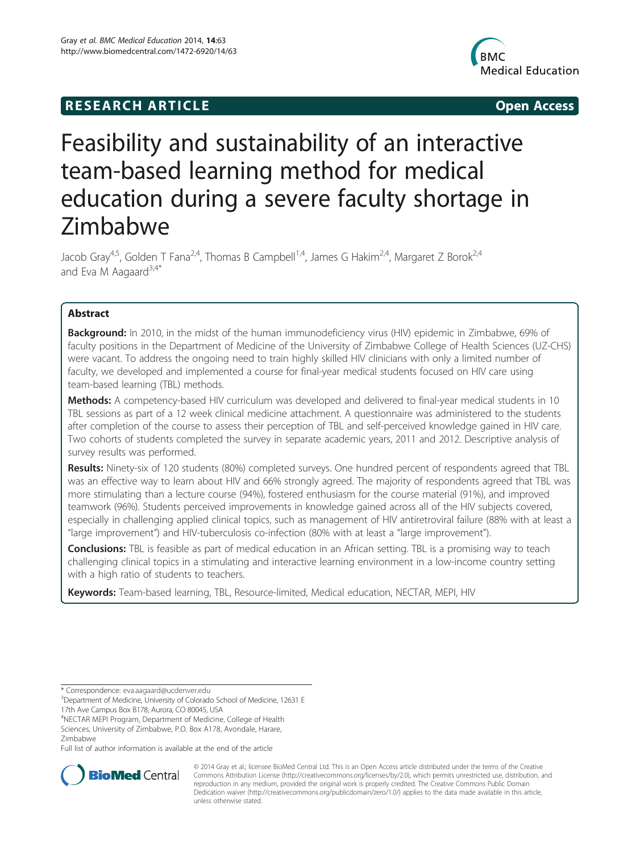# **RESEARCH ARTICLE Example 20 and 20 and 20 and 20 and 20 and 20 and 20 and 20 and 20 and 20 and 20 and 20 and 20 and 20 and 20 and 20 and 20 and 20 and 20 and 20 and 20 and 20 and 20 and 20 and 20 and 20 and 20 and 20 an**



# Feasibility and sustainability of an interactive team-based learning method for medical education during a severe faculty shortage in Zimbabwe

Jacob Gray<sup>4,5</sup>, Golden T Fana<sup>2,4</sup>, Thomas B Campbell<sup>1,4</sup>, James G Hakim<sup>2,4</sup>, Margaret Z Borok<sup>2,4</sup> and Eva M Aagaard<sup>3,4\*</sup>

# Abstract

Background: In 2010, in the midst of the human immunodeficiency virus (HIV) epidemic in Zimbabwe, 69% of faculty positions in the Department of Medicine of the University of Zimbabwe College of Health Sciences (UZ-CHS) were vacant. To address the ongoing need to train highly skilled HIV clinicians with only a limited number of faculty, we developed and implemented a course for final-year medical students focused on HIV care using team-based learning (TBL) methods.

Methods: A competency-based HIV curriculum was developed and delivered to final-year medical students in 10 TBL sessions as part of a 12 week clinical medicine attachment. A questionnaire was administered to the students after completion of the course to assess their perception of TBL and self-perceived knowledge gained in HIV care. Two cohorts of students completed the survey in separate academic years, 2011 and 2012. Descriptive analysis of survey results was performed.

Results: Ninety-six of 120 students (80%) completed surveys. One hundred percent of respondents agreed that TBL was an effective way to learn about HIV and 66% strongly agreed. The majority of respondents agreed that TBL was more stimulating than a lecture course (94%), fostered enthusiasm for the course material (91%), and improved teamwork (96%). Students perceived improvements in knowledge gained across all of the HIV subjects covered, especially in challenging applied clinical topics, such as management of HIV antiretroviral failure (88% with at least a "large improvement") and HIV-tuberculosis co-infection (80% with at least a "large improvement").

Conclusions: TBL is feasible as part of medical education in an African setting. TBL is a promising way to teach challenging clinical topics in a stimulating and interactive learning environment in a low-income country setting with a high ratio of students to teachers.

Keywords: Team-based learning, TBL, Resource-limited, Medical education, NECTAR, MEPI, HIV

\* Correspondence: [eva.aagaard@ucdenver.edu](mailto:eva.aagaard@ucdenver.edu) <sup>3</sup>

<sup>3</sup>Department of Medicine, University of Colorado School of Medicine, 12631 E 17th Ave Campus Box B178, Aurora, CO 80045, USA

4 NECTAR MEPI Program, Department of Medicine, College of Health

Sciences, University of Zimbabwe, P.O. Box A178, Avondale, Harare, Zimbabwe

Full list of author information is available at the end of the article



© 2014 Gray et al.; licensee BioMed Central Ltd. This is an Open Access article distributed under the terms of the Creative Commons Attribution License [\(http://creativecommons.org/licenses/by/2.0\)](http://creativecommons.org/licenses/by/2.0), which permits unrestricted use, distribution, and reproduction in any medium, provided the original work is properly credited. The Creative Commons Public Domain Dedication waiver [\(http://creativecommons.org/publicdomain/zero/1.0/](http://creativecommons.org/publicdomain/zero/1.0/)) applies to the data made available in this article, unless otherwise stated.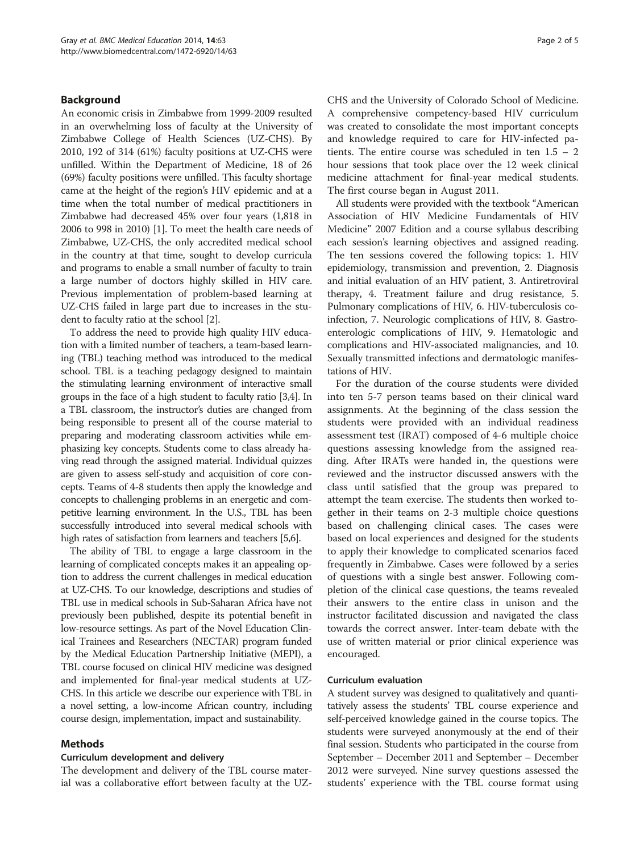# Background

An economic crisis in Zimbabwe from 1999-2009 resulted in an overwhelming loss of faculty at the University of Zimbabwe College of Health Sciences (UZ-CHS). By 2010, 192 of 314 (61%) faculty positions at UZ-CHS were unfilled. Within the Department of Medicine, 18 of 26 (69%) faculty positions were unfilled. This faculty shortage came at the height of the region's HIV epidemic and at a time when the total number of medical practitioners in Zimbabwe had decreased 45% over four years (1,818 in 2006 to 998 in 2010) [[1](#page-4-0)]. To meet the health care needs of Zimbabwe, UZ-CHS, the only accredited medical school in the country at that time, sought to develop curricula and programs to enable a small number of faculty to train a large number of doctors highly skilled in HIV care. Previous implementation of problem-based learning at UZ-CHS failed in large part due to increases in the student to faculty ratio at the school [\[2\]](#page-4-0).

To address the need to provide high quality HIV education with a limited number of teachers, a team-based learning (TBL) teaching method was introduced to the medical school. TBL is a teaching pedagogy designed to maintain the stimulating learning environment of interactive small groups in the face of a high student to faculty ratio [\[3,4](#page-4-0)]. In a TBL classroom, the instructor's duties are changed from being responsible to present all of the course material to preparing and moderating classroom activities while emphasizing key concepts. Students come to class already having read through the assigned material. Individual quizzes are given to assess self-study and acquisition of core concepts. Teams of 4-8 students then apply the knowledge and concepts to challenging problems in an energetic and competitive learning environment. In the U.S., TBL has been successfully introduced into several medical schools with high rates of satisfaction from learners and teachers [[5,6](#page-4-0)].

The ability of TBL to engage a large classroom in the learning of complicated concepts makes it an appealing option to address the current challenges in medical education at UZ-CHS. To our knowledge, descriptions and studies of TBL use in medical schools in Sub-Saharan Africa have not previously been published, despite its potential benefit in low-resource settings. As part of the Novel Education Clinical Trainees and Researchers (NECTAR) program funded by the Medical Education Partnership Initiative (MEPI), a TBL course focused on clinical HIV medicine was designed and implemented for final-year medical students at UZ-CHS. In this article we describe our experience with TBL in a novel setting, a low-income African country, including course design, implementation, impact and sustainability.

# Methods

## Curriculum development and delivery

The development and delivery of the TBL course material was a collaborative effort between faculty at the UZ- CHS and the University of Colorado School of Medicine. A comprehensive competency-based HIV curriculum was created to consolidate the most important concepts and knowledge required to care for HIV-infected patients. The entire course was scheduled in ten 1.5 – 2 hour sessions that took place over the 12 week clinical medicine attachment for final-year medical students. The first course began in August 2011.

All students were provided with the textbook "American Association of HIV Medicine Fundamentals of HIV Medicine" 2007 Edition and a course syllabus describing each session's learning objectives and assigned reading. The ten sessions covered the following topics: 1. HIV epidemiology, transmission and prevention, 2. Diagnosis and initial evaluation of an HIV patient, 3. Antiretroviral therapy, 4. Treatment failure and drug resistance, 5. Pulmonary complications of HIV, 6. HIV-tuberculosis coinfection, 7. Neurologic complications of HIV, 8. Gastroenterologic complications of HIV, 9. Hematologic and complications and HIV-associated malignancies, and 10. Sexually transmitted infections and dermatologic manifestations of HIV.

For the duration of the course students were divided into ten 5-7 person teams based on their clinical ward assignments. At the beginning of the class session the students were provided with an individual readiness assessment test (IRAT) composed of 4-6 multiple choice questions assessing knowledge from the assigned reading. After IRATs were handed in, the questions were reviewed and the instructor discussed answers with the class until satisfied that the group was prepared to attempt the team exercise. The students then worked together in their teams on 2-3 multiple choice questions based on challenging clinical cases. The cases were based on local experiences and designed for the students to apply their knowledge to complicated scenarios faced frequently in Zimbabwe. Cases were followed by a series of questions with a single best answer. Following completion of the clinical case questions, the teams revealed their answers to the entire class in unison and the instructor facilitated discussion and navigated the class towards the correct answer. Inter-team debate with the use of written material or prior clinical experience was encouraged.

### Curriculum evaluation

A student survey was designed to qualitatively and quantitatively assess the students' TBL course experience and self-perceived knowledge gained in the course topics. The students were surveyed anonymously at the end of their final session. Students who participated in the course from September – December 2011 and September – December 2012 were surveyed. Nine survey questions assessed the students' experience with the TBL course format using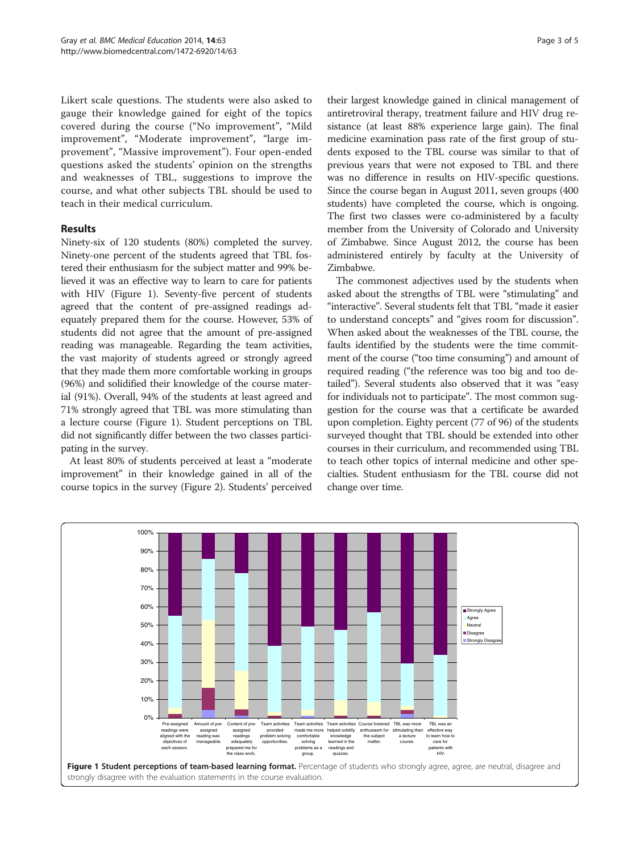Likert scale questions. The students were also asked to gauge their knowledge gained for eight of the topics covered during the course ("No improvement", "Mild improvement", "Moderate improvement", "large improvement", "Massive improvement"). Four open-ended questions asked the students' opinion on the strengths and weaknesses of TBL, suggestions to improve the course, and what other subjects TBL should be used to teach in their medical curriculum.

# Results

Ninety-six of 120 students (80%) completed the survey. Ninety-one percent of the students agreed that TBL fostered their enthusiasm for the subject matter and 99% believed it was an effective way to learn to care for patients with HIV (Figure 1). Seventy-five percent of students agreed that the content of pre-assigned readings adequately prepared them for the course. However, 53% of students did not agree that the amount of pre-assigned reading was manageable. Regarding the team activities, the vast majority of students agreed or strongly agreed that they made them more comfortable working in groups (96%) and solidified their knowledge of the course material (91%). Overall, 94% of the students at least agreed and 71% strongly agreed that TBL was more stimulating than a lecture course (Figure 1). Student perceptions on TBL did not significantly differ between the two classes participating in the survey.

At least 80% of students perceived at least a "moderate improvement" in their knowledge gained in all of the course topics in the survey (Figure [2](#page-3-0)). Students' perceived

their largest knowledge gained in clinical management of antiretroviral therapy, treatment failure and HIV drug resistance (at least 88% experience large gain). The final medicine examination pass rate of the first group of students exposed to the TBL course was similar to that of previous years that were not exposed to TBL and there was no difference in results on HIV-specific questions. Since the course began in August 2011, seven groups (400 students) have completed the course, which is ongoing. The first two classes were co-administered by a faculty member from the University of Colorado and University of Zimbabwe. Since August 2012, the course has been administered entirely by faculty at the University of Zimbabwe.

The commonest adjectives used by the students when asked about the strengths of TBL were "stimulating" and "interactive". Several students felt that TBL "made it easier to understand concepts" and "gives room for discussion". When asked about the weaknesses of the TBL course, the faults identified by the students were the time commitment of the course ("too time consuming") and amount of required reading ("the reference was too big and too detailed"). Several students also observed that it was "easy for individuals not to participate". The most common suggestion for the course was that a certificate be awarded upon completion. Eighty percent (77 of 96) of the students surveyed thought that TBL should be extended into other courses in their curriculum, and recommended using TBL to teach other topics of internal medicine and other specialties. Student enthusiasm for the TBL course did not change over time.

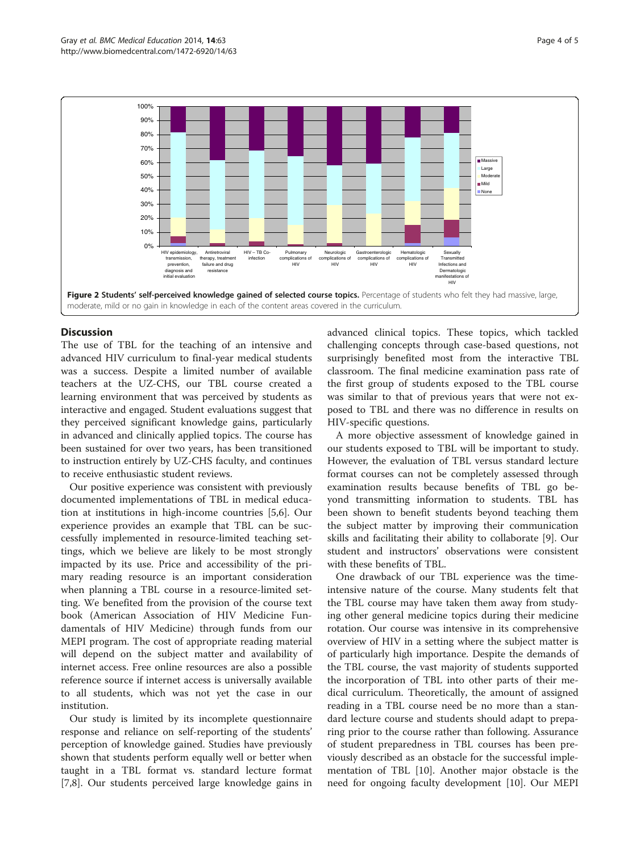<span id="page-3-0"></span>

# **Discussion**

The use of TBL for the teaching of an intensive and advanced HIV curriculum to final-year medical students was a success. Despite a limited number of available teachers at the UZ-CHS, our TBL course created a learning environment that was perceived by students as interactive and engaged. Student evaluations suggest that they perceived significant knowledge gains, particularly in advanced and clinically applied topics. The course has been sustained for over two years, has been transitioned to instruction entirely by UZ-CHS faculty, and continues to receive enthusiastic student reviews.

Our positive experience was consistent with previously documented implementations of TBL in medical education at institutions in high-income countries [\[5,6](#page-4-0)]. Our experience provides an example that TBL can be successfully implemented in resource-limited teaching settings, which we believe are likely to be most strongly impacted by its use. Price and accessibility of the primary reading resource is an important consideration when planning a TBL course in a resource-limited setting. We benefited from the provision of the course text book (American Association of HIV Medicine Fundamentals of HIV Medicine) through funds from our MEPI program. The cost of appropriate reading material will depend on the subject matter and availability of internet access. Free online resources are also a possible reference source if internet access is universally available to all students, which was not yet the case in our institution.

Our study is limited by its incomplete questionnaire response and reliance on self-reporting of the students' perception of knowledge gained. Studies have previously shown that students perform equally well or better when taught in a TBL format vs. standard lecture format [[7,8\]](#page-4-0). Our students perceived large knowledge gains in advanced clinical topics. These topics, which tackled challenging concepts through case-based questions, not surprisingly benefited most from the interactive TBL classroom. The final medicine examination pass rate of the first group of students exposed to the TBL course was similar to that of previous years that were not exposed to TBL and there was no difference in results on HIV-specific questions.

A more objective assessment of knowledge gained in our students exposed to TBL will be important to study. However, the evaluation of TBL versus standard lecture format courses can not be completely assessed through examination results because benefits of TBL go beyond transmitting information to students. TBL has been shown to benefit students beyond teaching them the subject matter by improving their communication skills and facilitating their ability to collaborate [\[9\]](#page-4-0). Our student and instructors' observations were consistent with these benefits of TBL.

One drawback of our TBL experience was the timeintensive nature of the course. Many students felt that the TBL course may have taken them away from studying other general medicine topics during their medicine rotation. Our course was intensive in its comprehensive overview of HIV in a setting where the subject matter is of particularly high importance. Despite the demands of the TBL course, the vast majority of students supported the incorporation of TBL into other parts of their medical curriculum. Theoretically, the amount of assigned reading in a TBL course need be no more than a standard lecture course and students should adapt to preparing prior to the course rather than following. Assurance of student preparedness in TBL courses has been previously described as an obstacle for the successful implementation of TBL [[10\]](#page-4-0). Another major obstacle is the need for ongoing faculty development [\[10](#page-4-0)]. Our MEPI